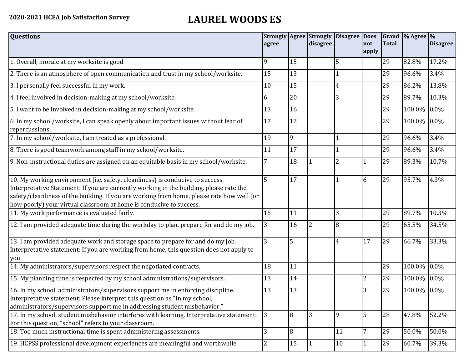## **2020-2021 HCEA Job Satisfaction Survey LAUREL WOODS ES**

| <b>Questions</b>                                                                                                                                                                                                                                                                                                                               | agree |    | <b>Strongly Agree Strongly</b><br>disagree | <b>Disagree Does</b> | not             | <b>Total</b> | Grand $\frac{9}{6}$ Agree $\frac{9}{6}$ | <b>Disagree</b> |
|------------------------------------------------------------------------------------------------------------------------------------------------------------------------------------------------------------------------------------------------------------------------------------------------------------------------------------------------|-------|----|--------------------------------------------|----------------------|-----------------|--------------|-----------------------------------------|-----------------|
|                                                                                                                                                                                                                                                                                                                                                |       |    |                                            |                      | apply           |              |                                         |                 |
| 1. Overall, morale at my worksite is good                                                                                                                                                                                                                                                                                                      | 9     | 15 |                                            | 5                    |                 | 29           | 82.8%                                   | 17.2%           |
| 2. There is an atmosphere of open communication and trust in my school/worksite.                                                                                                                                                                                                                                                               | 15    | 13 |                                            |                      |                 | 29           | 96.6%                                   | 3.4%            |
| 3. I personally feel successful in my work.                                                                                                                                                                                                                                                                                                    | 10    | 15 |                                            | 4                    |                 | 29           | 86.2%                                   | 13.8%           |
| 4. I feel involved in decision-making at my school/worksite.                                                                                                                                                                                                                                                                                   | 6     | 20 |                                            | 3                    |                 | 29           | 89.7%                                   | 10.3%           |
| 5. I want to be involved in decision-making at my school/worksite.                                                                                                                                                                                                                                                                             | 13    | 16 |                                            |                      |                 | 29           | 100.0%                                  | $0.0\%$         |
| 6. In my school/worksite, I can speak openly about important issues without fear of<br>repercussions.                                                                                                                                                                                                                                          | 17    | 12 |                                            |                      |                 | 29           | 100.0% 0.0%                             |                 |
| 7. In my school/worksite, I am treated as a professional.                                                                                                                                                                                                                                                                                      | 19    | 9  |                                            |                      |                 | 29           | 96.6%                                   | 3.4%            |
| 8. There is good teamwork among staff in my school/worksite.                                                                                                                                                                                                                                                                                   | 11    | 17 |                                            |                      |                 | 29           | 96.6%                                   | 3.4%            |
| 9. Non-instructional duties are assigned on an equitable basis in my school/worksite.                                                                                                                                                                                                                                                          |       | 18 |                                            | 2                    | $\vert$ 1       | 29           | 89.3%                                   | 10.7%           |
| 10. My working environment (i.e. safety, cleanliness) is conducive to success.<br>Interpretative Statement: If you are currently working in the building, please rate the<br>safety/cleanliness of the building. If you are working from home, please rate how well (or<br>how poorly) your virtual classroom at home is conducive to success. | 5     | 17 |                                            |                      | 6               | 29           | 95.7%                                   | 4.3%            |
| 11. My work performance is evaluated fairly.                                                                                                                                                                                                                                                                                                   | 15    | 11 |                                            | 3                    |                 | 29           | 89.7%                                   | 10.3%           |
| 12. I am provided adequate time during the workday to plan, prepare for and do my job.                                                                                                                                                                                                                                                         | 3     | 16 |                                            | 8                    |                 | 29           | 65.5%                                   | 34.5%           |
| 13. I am provided adequate work and storage space to prepare for and do my job.<br>Interpretative statement: If you are working from home, this question does not apply to<br>you.                                                                                                                                                             | 3     | 5  |                                            | $\overline{4}$       | 17              | 29           | 66.7%                                   | 33.3%           |
| 14. My administrators/supervisors respect the negotiated contracts.                                                                                                                                                                                                                                                                            | 18    | 11 |                                            |                      |                 | 29           | 100.0%                                  | $0.0\%$         |
| 15. My planning time is respected by my school administrations/supervisors.                                                                                                                                                                                                                                                                    | 13    | 14 |                                            |                      | $\overline{2}$  | 29           | 100.0% 0.0%                             |                 |
| 16. In my school, administrators/supervisors support me in enforcing discipline.<br>Interpretative statement: Please interpret this question as "In my school,<br>administrators/supervisors support me in addressing student misbehavior."                                                                                                    | 13    | 13 |                                            |                      | 3               | 29           | 100.0% 0.0%                             |                 |
| 17. In my school, student misbehavior interferes with learning. Interpretative statement:<br>For this question, "school" refers to your classroom.                                                                                                                                                                                             | 3     | 8  | 3                                          | 9                    | 5               | 28           | 47.8%                                   | 52.2%           |
| 18. Too much instructional time is spent administering assessments.                                                                                                                                                                                                                                                                            | 3     | 8  |                                            | 11                   | $7\overline{ }$ | 29           | 50.0%                                   | 50.0%           |
| 19. HCPSS professional development experiences are meaningful and worthwhile.                                                                                                                                                                                                                                                                  | 2     | 15 |                                            | 10                   | 1               | 29           | 60.7%                                   | 39.3%           |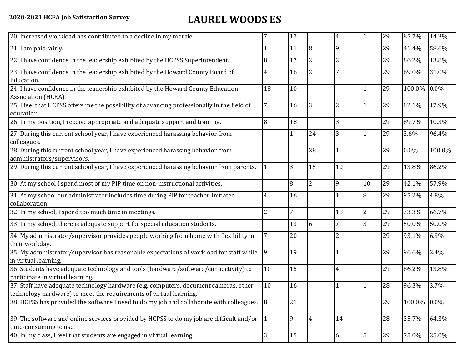## **2020-2021 HCEA Job Satisfaction Survey LAUREL WOODS ES**

| 20. Increased workload has contributed to a decline in my morale.                                                                                          |                | 17           |                | 4              |              | 29 | 85.7%       | 14.3%  |
|------------------------------------------------------------------------------------------------------------------------------------------------------------|----------------|--------------|----------------|----------------|--------------|----|-------------|--------|
| 21. I am paid fairly.                                                                                                                                      |                | 11           | 18             | 9              |              | 29 | 41.4%       | 58.6%  |
| 22. I have confidence in the leadership exhibited by the HCPSS Superintendent.                                                                             | 8              | 17           | $\overline{2}$ | $\overline{2}$ |              | 29 | 86.2%       | 13.8%  |
| 23. I have confidence in the leadership exhibited by the Howard County Board of<br>Education.                                                              | 4              | 16           | $\overline{2}$ |                |              | 29 | 69.0%       | 31.0%  |
| 24. I have confidence in the leadership exhibited by the Howard County Education<br>Association (HCEA).                                                    | 18             | 10           |                |                |              | 29 | 100.0%      | 0.0%   |
| 25. I feel that HCPSS offers me the possibility of advancing professionally in the field of<br>education.                                                  | 7              | 16           | $\overline{3}$ | 2              | $\mathbf{1}$ | 29 | 82.1%       | 17.9%  |
| 26. In my position, I receive appropriate and adequate support and training.                                                                               | 8              | 18           |                | 3              |              | 29 | 89.7%       | 10.3%  |
| 27. During this current school year, I have experienced harassing behavior from<br>colleagues.                                                             |                | $\mathbf{1}$ | 24             | 3              | $\mathbf{1}$ | 29 | 3.6%        | 96.4%  |
| 28. During this current school year, I have experienced harassing behavior from<br>administrators/supervisors.                                             |                |              | 28             |                |              | 29 | $0.0\%$     | 100.0% |
| 29. During this current school year, I have experienced harassing behavior from parents.                                                                   |                | 3            | 15             | 10             |              | 29 | 13.8%       | 86.2%  |
| 30. At my school I spend most of my PIP time on non-instructional activities.                                                                              |                | 8            | $\overline{2}$ | 9              | 10           | 29 | 42.1%       | 57.9%  |
| 31. At my school our administrator includes time during PIP for teacher-initiated<br>collaboration.                                                        | 4              | 16           |                |                | 8            | 29 | 95.2%       | 4.8%   |
| 32. In my school, I spend too much time in meetings.                                                                                                       | $\overline{2}$ | 7            |                | 18             | 2            | 29 | 33.3%       | 66.7%  |
| 33. In my school, there is adequate support for special education students.                                                                                |                | 13           | 6              | 7              | 3            | 29 | 50.0%       | 50.0%  |
| 34. My administrator/supervisor provides people working from home with flexibility in<br>their workday.                                                    |                | 20           |                | 2              |              | 29 | 93.1%       | 6.9%   |
| 35. My administrator/supervisor has reasonable expectations of workload for staff while<br>in virtual learning.                                            | 9              | 19           |                |                |              | 29 | 96.6%       | 3.4%   |
| 36. Students have adequate technology and tools (hardware/software/connectivity) to<br>participate in virtual learning.                                    | 10             | 15           |                | 4              |              | 29 | 86.2%       | 13.8%  |
| 37. Staff have adequate technology hardware (e.g. computers, document cameras, other<br>technology hardware) to meet the requirements of virtual learning. | 10             | 16           |                |                |              | 28 | 96.3%       | 3.7%   |
| 38. HCPSS has provided the software I need to do my job and collaborate with colleagues. 8                                                                 |                | 21           |                |                |              | 29 | 100.0% 0.0% |        |
| 39. The software and online services provided by HCPSS to do my job are difficult and/or $\left  \right $ 1<br>time-consuming to use.                      |                | 9            | 4              | 14             |              | 28 | 35.7%       | 64.3%  |
| 40. In my class, I feel that students are engaged in virtual learning                                                                                      | 3              | 15           |                | 6              | 5            | 29 | 75.0%       | 25.0%  |